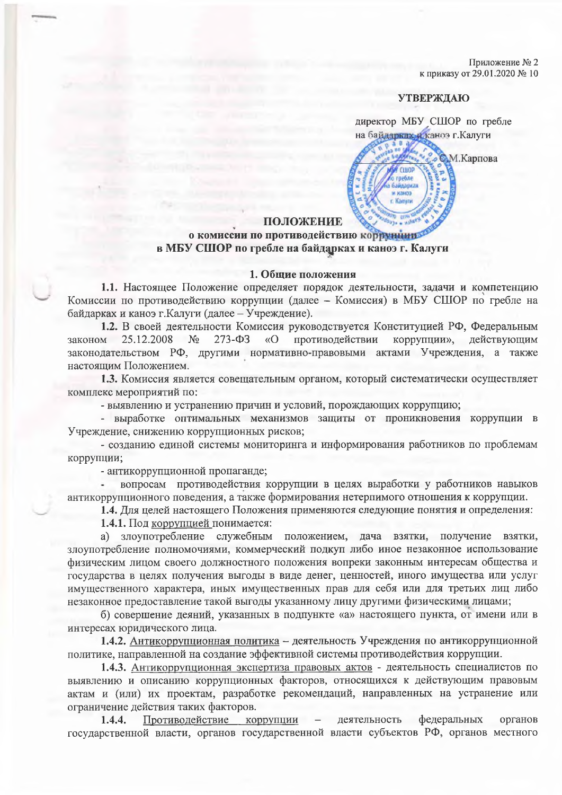Приложение № 2 к приказу от 29.01.2020 № 10

М.Карпова

## **УТВЕРЖДАЮ**

директор МБУ СШОР по гребле на байдарких и каноэ г. Калуги

## ПОЛОЖЕНИЕ

# о комиссии по противодействию коррунции в МБУ СШОР по гребле на байдарках и каноэ г. Калуги

#### 1. Общие положения

1.1. Настоящее Положение определяет порядок деятельности, задачи и компетенцию Комиссии по противодействию коррупции (далее - Комиссия) в МБУ СШОР по гребле на байдарках и каноэ г. Калуги (далее - Учреждение).

1.2. В своей деятельности Комиссия руководствуется Конституцией РФ, Федеральным  $273 - 03$ 25.12.2008  $No$ противодействии коррупции», законом «O лействующим законодательством РФ, другими нормативно-правовыми актами Учреждения, а также настоящим Положением.

1.3. Комиссия является совещательным органом, который систематически осуществляет комплекс мероприятий по:

- выявлению и устранению причин и условий, порождающих коррупцию;

- выработке оптимальных механизмов защиты от проникновения коррупции в Учреждение, снижению коррупционных рисков;

- созданию единой системы мониторинга и информирования работников по проблемам коррупции:

- антикоррупционной пропаганде;

вопросам противодействия коррупции в целях выработки у работников навыков антикоррупционного поведения, а также формирования нетерпимого отношения к коррупции.

1.4. Для целей настоящего Положения применяются следующие понятия и определения:

1.4.1. Под коррупцией понимается:

злоупотребление служебным положением, дача взятки, получение взятки, a) злоупотребление полномочиями, коммерческий подкуп либо иное незаконное использование физическим лицом своего должностного положения вопреки законным интересам общества и государства в целях получения выгоды в виде денег, ценностей, иного имущества или услуг имущественного характера, иных имущественных прав для себя или для третьих лиц либо незаконное предоставление такой выгоды указанному лицу другими физическими лицами;

б) совершение деяний, указанных в подпункте «а» настоящего пункта, от имени или в интересах юридического лица.

1.4.2. Антикоррупционная политика - деятельность Учреждения по антикоррупционной политике, направленной на создание эффективной системы противодействия коррупции.

1.4.3. Антикоррупционная экспертиза правовых актов - деятельность специалистов по выявлению и описанию коррупционных факторов, относящихся к действующим правовым актам и (или) их проектам, разработке рекомендаций, направленных на устранение или ограничение действия таких факторов.

Противодействие коррупции деятельность федеральных  $1.4.4.$ органов  $$ государственной власти, органов государственной власти субъектов РФ, органов местного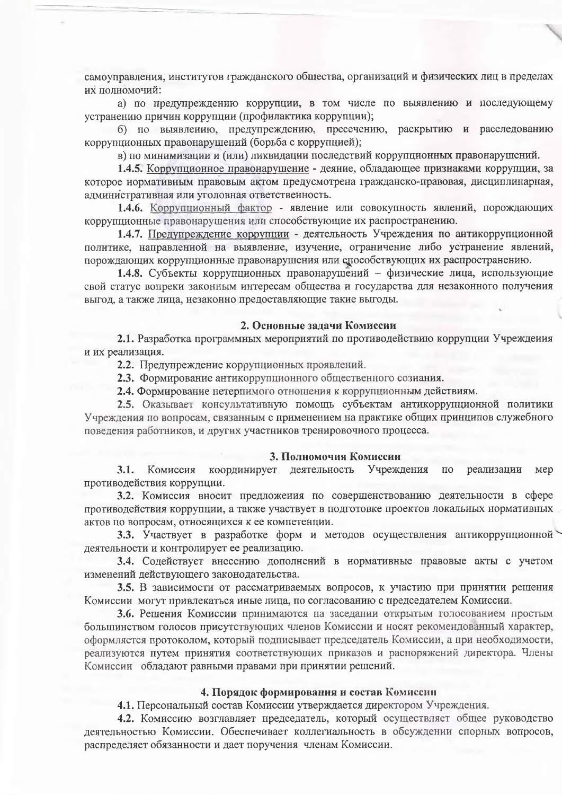самоуправления, институтов гражданского общества, организаций и физических лиц в пределах их полномочий:

а) по предупреждению коррупции, в том числе по выявлению и последующему устранению причин коррупции (профилактика коррупции);

б) по выявлению, предупреждению, пресечению, раскрытию и расследованию коррупционных правонарушений (борьба с коррупцией);

в) по минимизации и (или) ликвидации последствий коррупционных правонарушений.

1.4.5. Коррупционное правонарушение - деяние, обладающее признаками коррупции, за которое нормативным правовым актом предусмотрена гражданско-правовая, дисциплинарная, административная или уголовная ответственность.

1.4.6. Коррупционный фактор - явление или совокупность явлений, порождающих коррупционные правонарушения или способствующие их распространению.

1.4.7. Предупреждение коррупции - деятельность Учреждения по антикоррупционной политике, направленной на выявление, изучение, ограничение либо устранение явлений, порождающих коррупционные правонарушения или способствующих их распространению.

1.4.8. Субъекты коррупционных правонарушений - физические лица, использующие свой статус вопреки законным интересам общества и государства для незаконного получения выгод, а также лица, незаконно предоставляющие такие выгоды.

## 2. Основные задачи Комиссии

2.1. Разработка программных мероприятий по противодействию коррупции Учреждения и их реализация.

2.2. Предупреждение коррупционных проявлений.

2.3. Формирование антикоррупционного общественного сознания.

2.4. Формирование нетерпимого отношения к коррупционным действиям.

2.5. Оказывает консультативную помощь субъектам антикоррупционной политики Учреждения по вопросам, связанным с применением на практике общих принципов служебного поведения работников, и других участников тренировочного процесса.

#### 3. Полномочия Комиссии

Комиссия координирует деятельность Учреждения  $\overline{10}$ реализации мер  $3.1.$ противодействия коррупции.

3.2. Комиссия вносит предложения по совершенствованию деятельности в сфере противодействия коррупции, а также участвует в подготовке проектов локальных нормативных актов по вопросам, относящихся к ее компетенции.

3.3. Участвует в разработке форм и методов осуществления антикоррупционной деятельности и контролирует ее реализацию.

3.4. Содействует внесению дополнений в нормативные правовые акты с учетом изменений действующего законодательства.

3.5. В зависимости от рассматриваемых вопросов, к участию при принятии решения Комиссии могут привлекаться иные лица, по согласованию с председателем Комиссии.

3.6. Решения Комиссии принимаются на заседании открытым голосованием простым большинством голосов присутствующих членов Комиссии и носят рекомендованный характер, оформляется протоколом, который подписывает председатель Комиссии, а при необходимости, реализуются путем принятия соответствующих приказов и распоряжений директора. Члены Комиссии обладают равными правами при принятии решений.

## 4. Порядок формирования и состав Комиссии

4.1. Персональный состав Комиссии утверждается директором Учреждения.

4.2. Комиссию возглавляет председатель, который осуществляет общее руководство деятельностью Комиссии. Обеспечивает коллегиальность в обсуждении спорных вопросов, распределяет обязанности и дает поручения членам Комиссии.